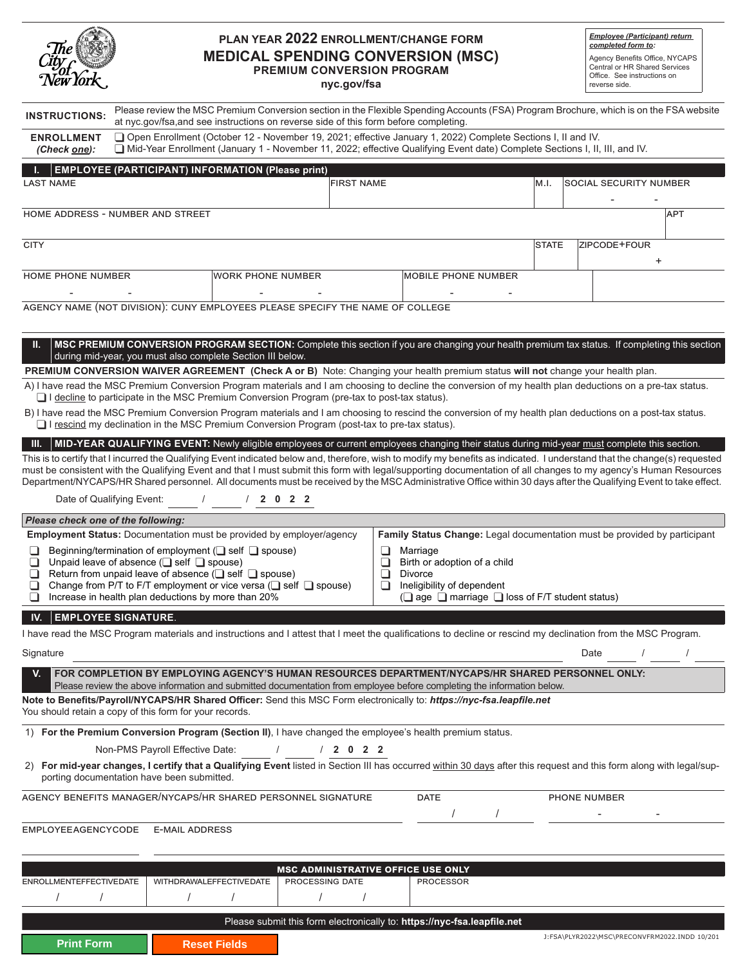| The<br>City<br>New York |  |
|-------------------------|--|
|                         |  |

**Print Form Reset Fields** 

#### **PLAN YEAR 2022 ENROLLMENT/CHANGE FORM MEDICAL SPENDING CONVERSION (MSC) PREMIUM CONVERSION PROGRAM nyc.gov/fsa**

*Employee (Participant) return completed form to:*

Agency Benefits Office, NYCAPS Central or HR Shared Services Office. See instructions on reverse side.

J:FSA\PLYR2022\MSC\PRECONVFRM2022.INDD 10/201

| <b>INSTRUCTIONS:</b>                                                                                                                                                                                                                                                                                                                                                                                                                                                                                     | at nyc.gov/fsa, and see instructions on reverse side of this form before completing.                                                                                                                                                          |                                                              |                                                                         |              | Please review the MSC Premium Conversion section in the Flexible Spending Accounts (FSA) Program Brochure, which is on the FSA website                                                                                                                                                                                                                                                                                                                                                                            |  |  |
|----------------------------------------------------------------------------------------------------------------------------------------------------------------------------------------------------------------------------------------------------------------------------------------------------------------------------------------------------------------------------------------------------------------------------------------------------------------------------------------------------------|-----------------------------------------------------------------------------------------------------------------------------------------------------------------------------------------------------------------------------------------------|--------------------------------------------------------------|-------------------------------------------------------------------------|--------------|-------------------------------------------------------------------------------------------------------------------------------------------------------------------------------------------------------------------------------------------------------------------------------------------------------------------------------------------------------------------------------------------------------------------------------------------------------------------------------------------------------------------|--|--|
| <b>ENROLLMENT</b><br>(Check one):                                                                                                                                                                                                                                                                                                                                                                                                                                                                        | □ Open Enrollment (October 12 - November 19, 2021; effective January 1, 2022) Complete Sections I, II and IV.<br>□ Mid-Year Enrollment (January 1 - November 11, 2022; effective Qualifying Event date) Complete Sections I, II, III, and IV. |                                                              |                                                                         |              |                                                                                                                                                                                                                                                                                                                                                                                                                                                                                                                   |  |  |
|                                                                                                                                                                                                                                                                                                                                                                                                                                                                                                          | <b>EMPLOYEE (PARTICIPANT) INFORMATION (Please print)</b>                                                                                                                                                                                      |                                                              |                                                                         |              |                                                                                                                                                                                                                                                                                                                                                                                                                                                                                                                   |  |  |
| <b>LAST NAME</b>                                                                                                                                                                                                                                                                                                                                                                                                                                                                                         |                                                                                                                                                                                                                                               | <b>FIRST NAME</b>                                            |                                                                         | M.I.         | <b>SOCIAL SECURITY NUMBER</b>                                                                                                                                                                                                                                                                                                                                                                                                                                                                                     |  |  |
| HOME ADDRESS - NUMBER AND STREET                                                                                                                                                                                                                                                                                                                                                                                                                                                                         |                                                                                                                                                                                                                                               |                                                              |                                                                         |              | APT                                                                                                                                                                                                                                                                                                                                                                                                                                                                                                               |  |  |
| CITY                                                                                                                                                                                                                                                                                                                                                                                                                                                                                                     |                                                                                                                                                                                                                                               |                                                              |                                                                         | <b>STATE</b> | ZIPCODE+FOUR<br>$\ddot{}$                                                                                                                                                                                                                                                                                                                                                                                                                                                                                         |  |  |
| <b>HOME PHONE NUMBER</b>                                                                                                                                                                                                                                                                                                                                                                                                                                                                                 | <b>MOBILE PHONE NUMBER</b><br><b>WORK PHONE NUMBER</b>                                                                                                                                                                                        |                                                              |                                                                         |              |                                                                                                                                                                                                                                                                                                                                                                                                                                                                                                                   |  |  |
|                                                                                                                                                                                                                                                                                                                                                                                                                                                                                                          | AGENCY NAME (NOT DIVISION): CUNY EMPLOYEES PLEASE SPECIFY THE NAME OF COLLEGE                                                                                                                                                                 |                                                              |                                                                         |              |                                                                                                                                                                                                                                                                                                                                                                                                                                                                                                                   |  |  |
| Ш.                                                                                                                                                                                                                                                                                                                                                                                                                                                                                                       | during mid-year, you must also complete Section III below.                                                                                                                                                                                    |                                                              |                                                                         |              | MSC PREMIUM CONVERSION PROGRAM SECTION: Complete this section if you are changing your health premium tax status. If completing this section                                                                                                                                                                                                                                                                                                                                                                      |  |  |
|                                                                                                                                                                                                                                                                                                                                                                                                                                                                                                          | PREMIUM CONVERSION WAIVER AGREEMENT (Check A or B) Note: Changing your health premium status will not change your health plan.                                                                                                                |                                                              |                                                                         |              |                                                                                                                                                                                                                                                                                                                                                                                                                                                                                                                   |  |  |
|                                                                                                                                                                                                                                                                                                                                                                                                                                                                                                          | □ I decline to participate in the MSC Premium Conversion Program (pre-tax to post-tax status).                                                                                                                                                |                                                              |                                                                         |              | A) I have read the MSC Premium Conversion Program materials and I am choosing to decline the conversion of my health plan deductions on a pre-tax status.                                                                                                                                                                                                                                                                                                                                                         |  |  |
|                                                                                                                                                                                                                                                                                                                                                                                                                                                                                                          | $\Box$ I rescind my declination in the MSC Premium Conversion Program (post-tax to pre-tax status).                                                                                                                                           |                                                              |                                                                         |              | B) I have read the MSC Premium Conversion Program materials and I am choosing to rescind the conversion of my health plan deductions on a post-tax status.                                                                                                                                                                                                                                                                                                                                                        |  |  |
| III.                                                                                                                                                                                                                                                                                                                                                                                                                                                                                                     |                                                                                                                                                                                                                                               |                                                              |                                                                         |              | MID-YEAR QUALIFYING EVENT: Newly eligible employees or current employees changing their status during mid-year must complete this section.                                                                                                                                                                                                                                                                                                                                                                        |  |  |
|                                                                                                                                                                                                                                                                                                                                                                                                                                                                                                          |                                                                                                                                                                                                                                               |                                                              |                                                                         |              | This is to certify that I incurred the Qualifying Event indicated below and, therefore, wish to modify my benefits as indicated. I understand that the change(s) requested<br>must be consistent with the Qualifying Event and that I must submit this form with legal/supporting documentation of all changes to my agency's Human Resources<br>Department/NYCAPS/HR Shared personnel. All documents must be received by the MSC Administrative Office within 30 days after the Qualifying Event to take effect. |  |  |
| Date of Qualifying Event:                                                                                                                                                                                                                                                                                                                                                                                                                                                                                | $\sqrt{2}$                                                                                                                                                                                                                                    | /2022                                                        |                                                                         |              |                                                                                                                                                                                                                                                                                                                                                                                                                                                                                                                   |  |  |
| Please check one of the following:                                                                                                                                                                                                                                                                                                                                                                                                                                                                       |                                                                                                                                                                                                                                               |                                                              |                                                                         |              |                                                                                                                                                                                                                                                                                                                                                                                                                                                                                                                   |  |  |
|                                                                                                                                                                                                                                                                                                                                                                                                                                                                                                          | <b>Employment Status:</b> Documentation must be provided by employer/agency                                                                                                                                                                   |                                                              |                                                                         |              | Family Status Change: Legal documentation must be provided by participant                                                                                                                                                                                                                                                                                                                                                                                                                                         |  |  |
| Beginning/termination of employment ( $\Box$ self $\Box$ spouse)<br>Marriage<br>ப<br>⊔<br>Unpaid leave of absence ( $\Box$ self $\Box$ spouse)<br>Birth or adoption of a child<br>⊔<br>⊔<br>Return from unpaid leave of absence ( $\Box$ self $\Box$ spouse)<br>□<br>Divorce<br>⊔<br>Change from P/T to F/T employment or vice versa (□ self □ spouse)<br>Ineligibility of dependent<br>❏<br>⊔<br>Increase in health plan deductions by more than 20%<br>(□ age □ marriage □ loss of F/T student status) |                                                                                                                                                                                                                                               |                                                              |                                                                         |              |                                                                                                                                                                                                                                                                                                                                                                                                                                                                                                                   |  |  |
| ❏                                                                                                                                                                                                                                                                                                                                                                                                                                                                                                        |                                                                                                                                                                                                                                               |                                                              |                                                                         |              |                                                                                                                                                                                                                                                                                                                                                                                                                                                                                                                   |  |  |
| <b>EMPLOYEE SIGNATURE.</b><br>IV.                                                                                                                                                                                                                                                                                                                                                                                                                                                                        |                                                                                                                                                                                                                                               |                                                              |                                                                         |              |                                                                                                                                                                                                                                                                                                                                                                                                                                                                                                                   |  |  |
| I have read the MSC Program materials and instructions and I attest that I meet the qualifications to decline or rescind my declination from the MSC Program.<br>Signature<br>Date                                                                                                                                                                                                                                                                                                                       |                                                                                                                                                                                                                                               |                                                              |                                                                         |              |                                                                                                                                                                                                                                                                                                                                                                                                                                                                                                                   |  |  |
| V.                                                                                                                                                                                                                                                                                                                                                                                                                                                                                                       | FOR COMPLETION BY EMPLOYING AGENCY'S HUMAN RESOURCES DEPARTMENT/NYCAPS/HR SHARED PERSONNEL ONLY:<br>Please review the above information and submitted documentation from employee before completing the information below.                    |                                                              |                                                                         |              |                                                                                                                                                                                                                                                                                                                                                                                                                                                                                                                   |  |  |
| You should retain a copy of this form for your records.                                                                                                                                                                                                                                                                                                                                                                                                                                                  | Note to Benefits/Payroll/NYCAPS/HR Shared Officer: Send this MSC Form electronically to: https://nyc-fsa.leapfile.net                                                                                                                         |                                                              |                                                                         |              |                                                                                                                                                                                                                                                                                                                                                                                                                                                                                                                   |  |  |
|                                                                                                                                                                                                                                                                                                                                                                                                                                                                                                          | 1) For the Premium Conversion Program (Section II), I have changed the employee's health premium status.                                                                                                                                      |                                                              |                                                                         |              |                                                                                                                                                                                                                                                                                                                                                                                                                                                                                                                   |  |  |
|                                                                                                                                                                                                                                                                                                                                                                                                                                                                                                          | Non-PMS Payroll Effective Date:                                                                                                                                                                                                               | /2022                                                        |                                                                         |              |                                                                                                                                                                                                                                                                                                                                                                                                                                                                                                                   |  |  |
| porting documentation have been submitted.                                                                                                                                                                                                                                                                                                                                                                                                                                                               |                                                                                                                                                                                                                                               |                                                              |                                                                         |              | 2) For mid-year changes, I certify that a Qualifying Event listed in Section III has occurred within 30 days after this request and this form along with legal/sup-                                                                                                                                                                                                                                                                                                                                               |  |  |
|                                                                                                                                                                                                                                                                                                                                                                                                                                                                                                          | AGENCY BENEFITS MANAGER/NYCAPS/HR SHARED PERSONNEL SIGNATURE                                                                                                                                                                                  |                                                              | <b>DATE</b>                                                             |              | PHONE NUMBER                                                                                                                                                                                                                                                                                                                                                                                                                                                                                                      |  |  |
|                                                                                                                                                                                                                                                                                                                                                                                                                                                                                                          |                                                                                                                                                                                                                                               |                                                              |                                                                         |              |                                                                                                                                                                                                                                                                                                                                                                                                                                                                                                                   |  |  |
| <b>EMPLOYEEAGENCYCODE</b>                                                                                                                                                                                                                                                                                                                                                                                                                                                                                | <b>E-MAIL ADDRESS</b>                                                                                                                                                                                                                         |                                                              |                                                                         |              |                                                                                                                                                                                                                                                                                                                                                                                                                                                                                                                   |  |  |
|                                                                                                                                                                                                                                                                                                                                                                                                                                                                                                          |                                                                                                                                                                                                                                               |                                                              |                                                                         |              |                                                                                                                                                                                                                                                                                                                                                                                                                                                                                                                   |  |  |
| <b>ENROLLMENTEFFECTIVEDATE</b>                                                                                                                                                                                                                                                                                                                                                                                                                                                                           | WITHDRAWALEFFECTIVEDATE                                                                                                                                                                                                                       | <b>MSC ADMINISTRATIVE OFFICE USE ONLY</b><br>PROCESSING DATE | <b>PROCESSOR</b>                                                        |              |                                                                                                                                                                                                                                                                                                                                                                                                                                                                                                                   |  |  |
|                                                                                                                                                                                                                                                                                                                                                                                                                                                                                                          |                                                                                                                                                                                                                                               |                                                              |                                                                         |              |                                                                                                                                                                                                                                                                                                                                                                                                                                                                                                                   |  |  |
|                                                                                                                                                                                                                                                                                                                                                                                                                                                                                                          |                                                                                                                                                                                                                                               |                                                              | Please submit this form electronically to: https://nyc-fsa.leapfile.net |              |                                                                                                                                                                                                                                                                                                                                                                                                                                                                                                                   |  |  |